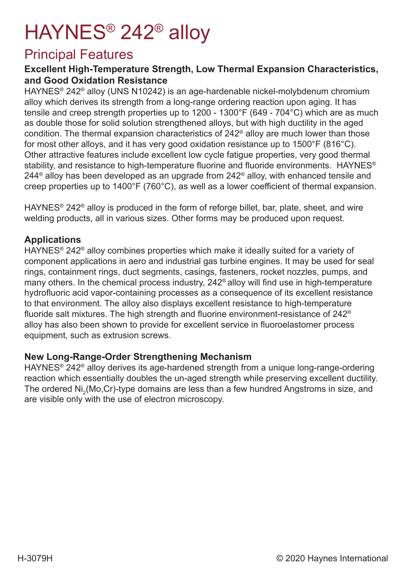# HAYNES® 242® alloy

### Principal Features

### **Excellent High-Temperature Strength, Low Thermal Expansion Characteristics, and Good Oxidation Resistance**

HAYNES® 242® alloy (UNS N10242) is an age-hardenable nickel-molybdenum chromium alloy which derives its strength from a long-range ordering reaction upon aging. It has tensile and creep strength properties up to 1200 - 1300°F (649 - 704°C) which are as much as double those for solid solution strengthened alloys, but with high ductility in the aged condition. The thermal expansion characteristics of 242® alloy are much lower than those for most other alloys, and it has very good oxidation resistance up to 1500°F (816°C). Other attractive features include excellent low cycle fatigue properties, very good thermal stability, and resistance to high-temperature fluorine and fluoride environments. HAYNES<sup>®</sup> 244<sup>®</sup> alloy has been developed as an upgrade from 242<sup>®</sup> alloy, with enhanced tensile and creep properties up to 1400°F (760°C), as well as a lower coefficient of thermal expansion.

HAYNES® 242® alloy is produced in the form of reforge billet, bar, plate, sheet, and wire welding products, all in various sizes. Other forms may be produced upon request.

### **Applications**

HAYNES® 242® alloy combines properties which make it ideally suited for a variety of component applications in aero and industrial gas turbine engines. It may be used for seal rings, containment rings, duct segments, casings, fasteners, rocket nozzles, pumps, and many others. In the chemical process industry, 242® alloy will find use in high-temperature hydrofluoric acid vapor-containing processes as a consequence of its excellent resistance to that environment. The alloy also displays excellent resistance to high-temperature fluoride salt mixtures. The high strength and fluorine environment-resistance of 242® alloy has also been shown to provide for excellent service in fluoroelastomer process equipment, such as extrusion screws.

### **New Long-Range-Order Strengthening Mechanism**

HAYNES® 242® alloy derives its age-hardened strength from a unique long-range-ordering reaction which essentially doubles the un-aged strength while preserving excellent ductility. The ordered  $\mathsf{Ni}_{\mathsf{2}}(\mathsf{Mo},\mathsf{Cr})$ -type domains are less than a few hundred Angstroms in size, and are visible only with the use of electron microscopy.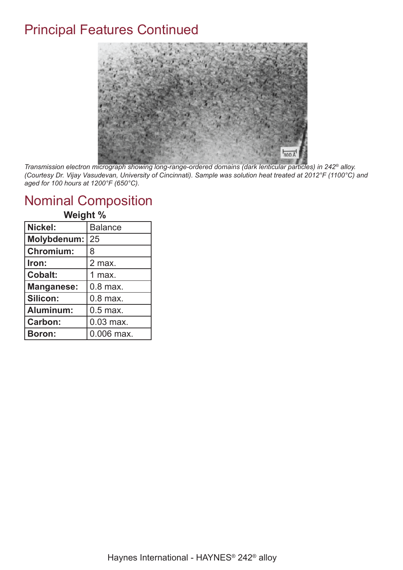## Principal Features Continued



*Transmission electron micrograph showing long-range-ordered domains (dark lenticular particles) in 242® alloy. (Courtesy Dr. Vijay Vasudevan, University of Cincinnati). Sample was solution heat treated at 2012°F (1100°C) and aged for 100 hours at 1200°F (650°C).*

### Nominal Composition

| <b>vveignt</b> %  |                |
|-------------------|----------------|
| Nickel:           | <b>Balance</b> |
| Molybdenum:       | 25             |
| <b>Chromium:</b>  | 8              |
| Iron:             | 2 max.         |
| <b>Cobalt:</b>    | 1 max.         |
| <b>Manganese:</b> | $0.8$ max.     |
| <b>Silicon:</b>   | $0.8$ max.     |
| Aluminum:         | $0.5$ max.     |
| <b>Carbon:</b>    | $0.03$ max.    |
| <b>Boron:</b>     | 0.006 max.     |

**Weight %**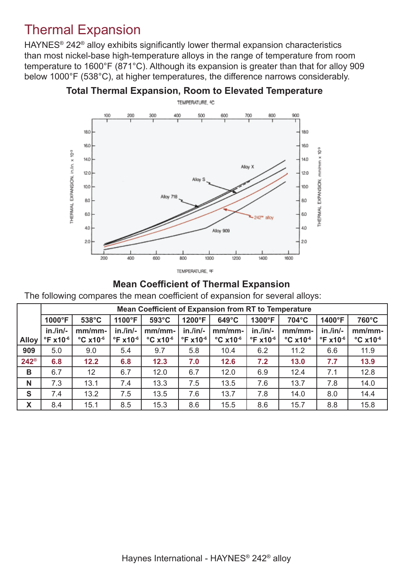## Thermal Expansion

HAYNES® 242® alloy exhibits significantly lower thermal expansion characteristics than most nickel-base high-temperature alloys in the range of temperature from room temperature to 1600°F (871°C). Although its expansion is greater than that for alloy 909 below 1000°F (538°C), at higher temperatures, the difference narrows considerably.



**Total Thermal Expansion, Room to Elevated Temperature**

TEMPERATURE, OF

#### **Mean Coefficient of Thermal Expansion**

The following compares the mean coefficient of expansion for several alloys:

|               | <b>Mean Coefficient of Expansion from RT to Temperature</b> |                                        |                        |                                    |                                         |                                      |                                         |                                    |                                           |                                          |  |  |
|---------------|-------------------------------------------------------------|----------------------------------------|------------------------|------------------------------------|-----------------------------------------|--------------------------------------|-----------------------------------------|------------------------------------|-------------------------------------------|------------------------------------------|--|--|
|               | 1000°F                                                      | 538°C                                  | 1100°F                 | 593°C                              | 1200°F                                  | $649^{\circ}$ C                      | 1300°F                                  | 704°C                              | 1400°F                                    | 760°C                                    |  |  |
| <b>Alloy</b>  | $in./in/-$<br>$\degree$ F x10 $\degree$                     | $mm/mm$ -<br>$\degree$ C x10 $\degree$ | $in./in/-$<br>°F x10-6 | mm/mm<br>$\degree$ C x10 $\degree$ | $in./in/-$<br>$\degree$ F x10 $\degree$ | mm/mm<br>$^{\circ}$ C x10 $^{\circ}$ | $in./in/-$<br>$\degree$ F x10 $\degree$ | mm/mm<br>$\degree$ C x10 $\degree$ | $in./in/-$<br>$^{\circ}$ F x10 $^{\circ}$ | $mm/mm$ -<br>$^{\circ}$ C x10 $^{\circ}$ |  |  |
| 909           | 5.0                                                         | 9.0                                    | 5.4                    | 9.7                                | 5.8                                     | 10.4                                 | 6.2                                     | 11.2                               | 6.6                                       | 11.9                                     |  |  |
| $242^{\circ}$ | 6.8                                                         | 12.2                                   | 6.8                    | 12.3                               | 7.0                                     | 12.6                                 | 7.2                                     | 13.0                               | 7.7                                       | 13.9                                     |  |  |
| B             | 6.7                                                         | 12                                     | 6.7                    | 12.0                               | 6.7                                     | 12.0                                 | 6.9                                     | 12.4                               | 7.1                                       | 12.8                                     |  |  |
| N             | 7.3                                                         | 13.1                                   | 7.4                    | 13.3                               | 7.5                                     | 13.5                                 | 7.6                                     | 13.7                               | 7.8                                       | 14.0                                     |  |  |
| S             | 7.4                                                         | 13.2                                   | 7.5                    | 13.5                               | 7.6                                     | 13.7                                 | 7.8                                     | 14.0                               | 8.0                                       | 14.4                                     |  |  |
| X             | 8.4                                                         | 15.1                                   | 8.5                    | 15.3                               | 8.6                                     | 15.5                                 | 8.6                                     | 15.7                               | 8.8                                       | 15.8                                     |  |  |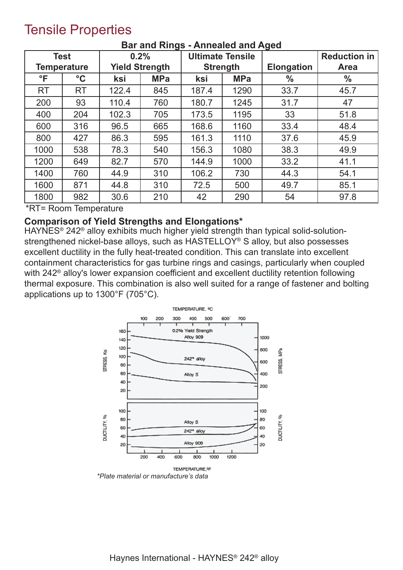### Tensile Properties

|              | <b>Test</b>        |       | 0.2%                  |       | <b>Ultimate Tensile</b>              | $\tilde{\phantom{a}}$ | <b>Reduction in</b> |
|--------------|--------------------|-------|-----------------------|-------|--------------------------------------|-----------------------|---------------------|
|              | <b>Temperature</b> |       | <b>Yield Strength</b> |       | <b>Elongation</b><br><b>Strength</b> |                       | <b>Area</b>         |
| $\mathsf{P}$ | $\rm ^{\circ}C$    | ksi   | <b>MPa</b>            | ksi   | <b>MPa</b>                           | $\%$                  | $\%$                |
| <b>RT</b>    | <b>RT</b>          | 122.4 | 845                   | 187.4 | 1290                                 | 33.7                  | 45.7                |
| 200          | 93                 | 110.4 | 760                   | 180.7 | 1245                                 | 31.7                  | 47                  |
| 400          | 204                | 102.3 | 705                   | 173.5 | 1195                                 | 33                    | 51.8                |
| 600          | 316                | 96.5  | 665                   | 168.6 | 1160                                 | 33.4                  | 48.4                |
| 800          | 427                | 86.3  | 595                   | 161.3 | 1110                                 | 37.6                  | 45.9                |
| 1000         | 538                | 78.3  | 540                   | 156.3 | 1080                                 | 38.3                  | 49.9                |
| 1200         | 649                | 82.7  | 570                   | 144.9 | 1000                                 | 33.2                  | 41.1                |
| 1400         | 760                | 44.9  | 310                   | 106.2 | 730                                  | 44.3                  | 54.1                |
| 1600         | 871                | 44.8  | 310                   | 72.5  | 500                                  | 49.7                  | 85.1                |
| 1800         | 982                | 30.6  | 210                   | 42    | 290                                  | 54                    | 97.8                |

### **Bar and Rings - Annealed and Aged**

\*RT= Room Temperature

### **Comparison of Yield Strengths and Elongations\***

HAYNES® 242® alloy exhibits much higher yield strength than typical solid-solutionstrengthened nickel-base alloys, such as HASTELLOY® S alloy, but also possesses excellent ductility in the fully heat-treated condition. This can translate into excellent containment characteristics for gas turbine rings and casings, particularly when coupled with 242<sup>®</sup> alloy's lower expansion coefficient and excellent ductility retention following thermal exposure. This combination is also well suited for a range of fastener and bolting applications up to 1300°F (705°C).

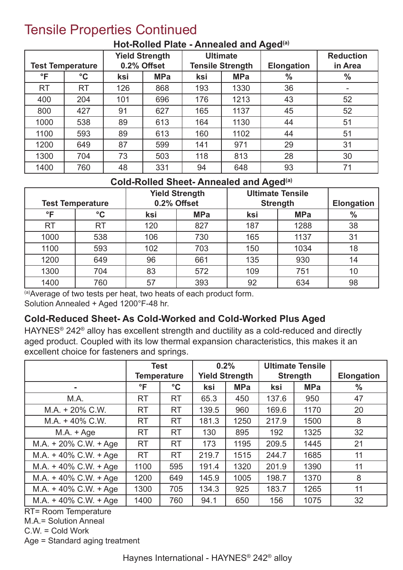## Tensile Properties Continued

|                         |                 | <b>Yield Strength</b> |             |     | <b>Ultimate</b>         |                   | <b>Reduction</b> |
|-------------------------|-----------------|-----------------------|-------------|-----|-------------------------|-------------------|------------------|
| <b>Test Temperature</b> |                 |                       | 0.2% Offset |     | <b>Tensile Strength</b> | <b>Elongation</b> | in Area          |
| $\mathsf{P}$            | $\rm ^{\circ}C$ | ksi                   | <b>MPa</b>  | ksi | <b>MPa</b>              | $\frac{0}{0}$     | $\frac{0}{0}$    |
| <b>RT</b>               | <b>RT</b>       | 126                   | 868         | 193 | 1330                    | 36                | -                |
| 400                     | 204             | 101                   | 696         | 176 | 1213                    | 43                | 52               |
| 800                     | 427             | 91                    | 627         | 165 | 1137                    | 45                | 52               |
| 1000                    | 538             | 89                    | 613         | 164 | 1130                    | 44                | 51               |
| 1100                    | 593             | 89                    | 613         | 160 | 1102                    | 44                | 51               |
| 1200                    | 649             | 87                    | 599         | 141 | 971                     | 29                | 31               |
| 1300                    | 704             | 73                    | 503         | 118 | 813                     | 28                | 30               |
| 1400                    | 760             | 48                    | 331         | 94  | 648                     | 93                | 71               |

### **Hot-Rolled Plate - Annealed and Aged(a)**

### **Cold-Rolled Sheet- Annealed and Aged(a)**

|                         |                 |     | <b>Yield Strength</b> | <b>Ultimate Tensile</b> |                   |               |
|-------------------------|-----------------|-----|-----------------------|-------------------------|-------------------|---------------|
| <b>Test Temperature</b> |                 |     | 0.2% Offset           | <b>Strength</b>         | <b>Elongation</b> |               |
| $^{\circ}$ F            | $\rm ^{\circ}C$ | ksi | <b>MPa</b>            | ksi                     | <b>MPa</b>        | $\frac{0}{0}$ |
| <b>RT</b>               | <b>RT</b>       | 120 | 827                   | 187                     | 1288              | 38            |
| 1000                    | 538             | 106 | 730                   | 165                     | 1137              | 31            |
| 1100                    | 593             | 102 | 703                   | 150                     | 1034              | 18            |
| 1200                    | 649             | 96  | 661                   | 135                     | 930               | 14            |
| 1300                    | 704             | 83  | 572                   | 109                     | 751               | 10            |
| 1400                    | 760             | 57  | 393                   | 92                      | 634               | 98            |

(a)Average of two tests per heat, two heats of each product form. Solution Annealed + Aged 1200°F-48 hr.

### **Cold-Reduced Sheet- As Cold-Worked and Cold-Worked Plus Aged**

HAYNES<sup>®</sup> 242<sup>®</sup> alloy has excellent strength and ductility as a cold-reduced and directly aged product. Coupled with its low thermal expansion characteristics, this makes it an excellent choice for fasteners and springs.

|                           | <b>Test</b><br><b>Temperature</b> |                 | 0.2%<br><b>Yield Strength</b> |            | <b>Ultimate Tensile</b><br><b>Strength</b> |            | <b>Elongation</b> |
|---------------------------|-----------------------------------|-----------------|-------------------------------|------------|--------------------------------------------|------------|-------------------|
| $\blacksquare$            | °F                                | $\rm ^{\circ}C$ | ksi                           | <b>MPa</b> | ksi                                        | <b>MPa</b> | $\frac{0}{0}$     |
| M.A.                      | RT                                | <b>RT</b>       | 65.3                          | 450        | 137.6                                      | 950        | 47                |
| $M.A. + 20\% C.W.$        | <b>RT</b>                         | <b>RT</b>       | 139.5                         | 960        | 169.6                                      | 1170       | 20                |
| $M.A. + 40\% C.W.$        | RT                                | <b>RT</b>       | 181.3                         | 1250       | 217.9                                      | 1500       | 8                 |
| $MA. + Age$               | <b>RT</b>                         | <b>RT</b>       | 130                           | 895        | 192                                        | 1325       | 32                |
| $M.A. + 20\% C.W. + Age$  | <b>RT</b>                         | <b>RT</b>       | 173                           | 1195       | 209.5                                      | 1445       | 21                |
| $M.A. + 40\% C.W. + Age$  | <b>RT</b>                         | <b>RT</b>       | 219.7                         | 1515       | 244.7                                      | 1685       | 11                |
| $M.A. + 40\% C.W. + Age$  | 1100                              | 595             | 191.4                         | 1320       | 201.9                                      | 1390       | 11                |
| M.A. + 40% C.W. + Age     | 1200                              | 649             | 145.9                         | 1005       | 198.7                                      | 1370       | 8                 |
| $MA. + 40\%$ C.W. $+$ Age | 1300                              | 705             | 134.3                         | 925        | 183.7                                      | 1265       | 11                |
| $MA. + 40\%$ C.W. $+$ Age | 1400                              | 760             | 94.1                          | 650        | 156                                        | 1075       | 32                |

RT= Room Temperature

M.A.= Solution Anneal

C.W. = Cold Work

Age = Standard aging treatment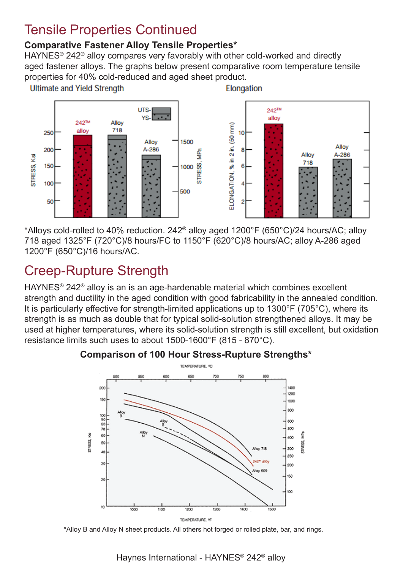## Tensile Properties Continued

### **Comparative Fastener Alloy Tensile Properties\***

HAYNES® 242® alloy compares very favorably with other cold-worked and directly aged fastener alloys. The graphs below present comparative room temperature tensile properties for 40% cold-reduced and aged sheet product.

**Ultimate and Yield Strength** 





\*Alloys cold-rolled to 40% reduction. 242® alloy aged 1200°F (650°C)/24 hours/AC; alloy 718 aged 1325°F (720°C)/8 hours/FC to 1150°F (620°C)/8 hours/AC; alloy A-286 aged 1200°F (650°C)/16 hours/AC.

## Creep-Rupture Strength

HAYNES® 242® alloy is an is an age-hardenable material which combines excellent strength and ductility in the aged condition with good fabricability in the annealed condition. It is particularly effective for strength-limited applications up to 1300°F (705°C), where its strength is as much as double that for typical solid-solution strengthened alloys. It may be used at higher temperatures, where its solid-solution strength is still excellent, but oxidation resistance limits such uses to about 1500-1600°F (815 - 870°C).



### **Comparison of 100 Hour Stress-Rupture Strengths\***

\*Alloy B and Alloy N sheet products. All others hot forged or rolled plate, bar, and rings.

Haynes International - HAYNES® 242® alloy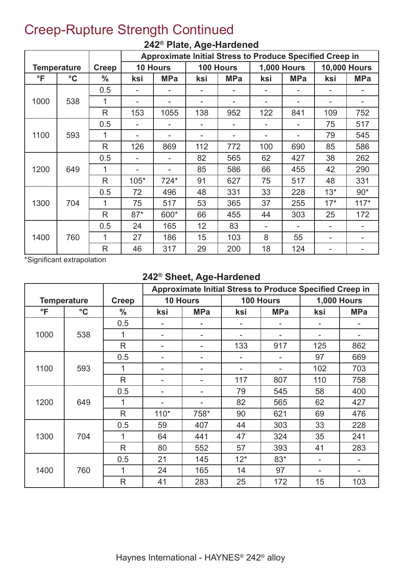## Creep-Rupture Strength Continued

|           |                    |               |        |            | . <u>.</u> | <b>Approximate Initial Stress to Produce Specified Creep in</b> |                    |            |                     |            |
|-----------|--------------------|---------------|--------|------------|------------|-----------------------------------------------------------------|--------------------|------------|---------------------|------------|
|           | <b>Temperature</b> | Creep         |        | 10 Hours   |            | 100 Hours                                                       | <b>1,000 Hours</b> |            | <b>10,000 Hours</b> |            |
| $\circ$ F | $\rm ^{\circ}C$    | $\frac{0}{0}$ | ksi    | <b>MPa</b> | ksi        | <b>MPa</b>                                                      | ksi                | <b>MPa</b> | ksi                 | <b>MPa</b> |
|           |                    | 0.5           |        |            |            |                                                                 |                    |            |                     |            |
| 1000      | 538                | 1             |        |            |            |                                                                 |                    |            |                     |            |
|           |                    | R             | 153    | 1055       | 138        | 952                                                             | 122                | 841        | 109                 | 752        |
|           |                    | 0.5           |        |            |            |                                                                 |                    |            | 75                  | 517        |
| 1100      | 593                | 1             |        |            |            |                                                                 |                    |            | 79                  | 545        |
|           |                    | R             | 126    | 869        | 112        | 772                                                             | 100                | 690        | 85                  | 586        |
|           |                    | 0.5           |        |            | 82         | 565                                                             | 62                 | 427        | 38                  | 262        |
| 1200      | 649                | 1             |        |            | 85         | 586                                                             | 66                 | 455        | 42                  | 290        |
|           |                    | R             | $105*$ | $724*$     | 91         | 627                                                             | 75                 | 517        | 48                  | 331        |
|           |                    | 0.5           | 72     | 496        | 48         | 331                                                             | 33                 | 228        | $13*$               | $90*$      |
| 1300      | 704                | 1             | 75     | 517        | 53         | 365                                                             | 37                 | 255        | $17*$               | $117*$     |
|           |                    | R             | $87*$  | 600*       | 66         | 455                                                             | 44                 | 303        | 25                  | 172        |
|           |                    | 0.5           | 24     | 165        | 12         | 83                                                              |                    |            |                     |            |
| 1400      | 760                | 1             | 27     | 186        | 15         | 103                                                             | 8                  | 55         | ۰                   |            |
|           |                    | R             | 46     | 317        | 29         | 200                                                             | 18                 | 124        |                     |            |

### **242® Plate, Age-Hardened**

\*Significant extrapolation

### **242® Sheet, Age-Hardened**

|              |                    |               |        |                 |       |            | <b>Approximate Initial Stress to Produce Specified Creep in</b> |            |
|--------------|--------------------|---------------|--------|-----------------|-------|------------|-----------------------------------------------------------------|------------|
|              | <b>Temperature</b> | <b>Creep</b>  |        | <b>10 Hours</b> |       | 100 Hours  | <b>1,000 Hours</b>                                              |            |
| $\mathsf{P}$ | $\rm ^{\circ}C$    | $\frac{0}{0}$ | ksi    | <b>MPa</b>      | ksi   | <b>MPa</b> | ksi                                                             | <b>MPa</b> |
|              |                    | 0.5           |        |                 |       |            |                                                                 |            |
| 1000         | 538                | 1             |        | -               |       |            | ۰                                                               | ۰          |
|              |                    | R             | ۰      | ۰               | 133   | 917        | 125                                                             | 862        |
|              |                    | 0.5           |        |                 |       |            | 97                                                              | 669        |
| 1100         | 593                | 1             |        |                 |       |            | 102                                                             | 703        |
|              |                    | R             |        |                 | 117   | 807        | 110                                                             | 758        |
|              |                    | 0.5           |        |                 | 79    | 545        | 58                                                              | 400        |
| 1200         | 649                | 1             |        |                 | 82    | 565        | 62                                                              | 427        |
|              |                    | R             | $110*$ | 758*            | 90    | 621        | 69                                                              | 476        |
|              |                    | 0.5           | 59     | 407             | 44    | 303        | 33                                                              | 228        |
| 1300         | 704                | 1             | 64     | 441             | 47    | 324        | 35                                                              | 241        |
|              |                    | R             | 80     | 552             | 57    | 393        | 41                                                              | 283        |
|              |                    | 0.5           | 21     | 145             | $12*$ | $83*$      | ۰                                                               | ۰          |
| 1400         | 760                | 1             | 24     | 165             | 14    | 97         | ۰                                                               | ۰          |
|              |                    | R             | 41     | 283             | 25    | 172        | 15                                                              | 103        |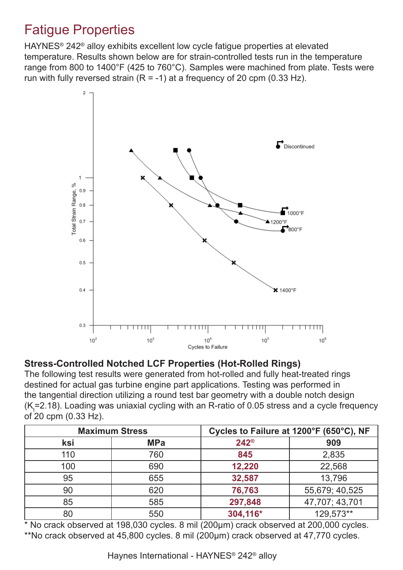## Fatigue Properties

HAYNES® 242® alloy exhibits excellent low cycle fatigue properties at elevated temperature. Results shown below are for strain-controlled tests run in the temperature range from 800 to 1400°F (425 to 760°C). Samples were machined from plate. Tests were run with fully reversed strain  $(R = -1)$  at a frequency of 20 cpm  $(0.33 \text{ Hz})$ .



### **Stress-Controlled Notched LCF Properties (Hot-Rolled Rings)**

The following test results were generated from hot-rolled and fully heat-treated rings destined for actual gas turbine engine part applications. Testing was performed in the tangential direction utilizing a round test bar geometry with a double notch design (K $_{\rm t}$ =2.18). Loading was uniaxial cycling with an R-ratio of 0.05 stress and a cycle frequency of 20 cpm (0.33 Hz).

|     | <b>Maximum Stress</b> | Cycles to Failure at 1200°F (650°C), NF |                |  |  |
|-----|-----------------------|-----------------------------------------|----------------|--|--|
| ksi | <b>MPa</b>            | $242^{\circ}$                           | 909            |  |  |
| 110 | 760                   | 845                                     | 2,835          |  |  |
| 100 | 690                   | 12,220                                  | 22,568         |  |  |
| 95  | 655                   | 32,587                                  | 13,796         |  |  |
| 90  | 620                   | 76,763                                  | 55,679; 40,525 |  |  |
| 85  | 585                   | 297,848                                 | 47,707; 43,701 |  |  |
| 80  | 550                   | 304,116*                                | 129,573**      |  |  |

\* No crack observed at 198,030 cycles. 8 mil (200μm) crack observed at 200,000 cycles. \*\*No crack observed at 45,800 cycles. 8 mil (200μm) crack observed at 47,770 cycles.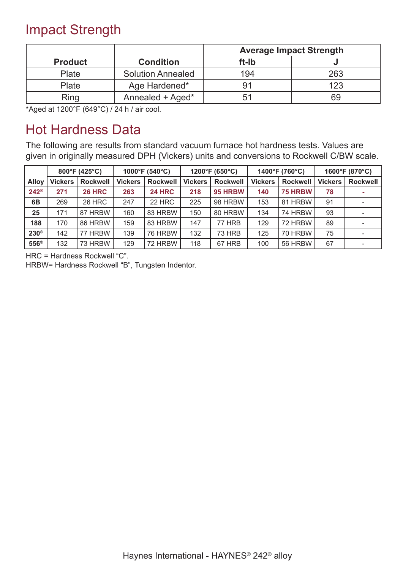## Impact Strength

|                |                          | <b>Average Impact Strength</b> |     |  |
|----------------|--------------------------|--------------------------------|-----|--|
| <b>Product</b> | <b>Condition</b>         | ft-Ib                          |     |  |
| Plate          | <b>Solution Annealed</b> | 194                            | 263 |  |
| Plate          | Age Hardened*            | 91                             | 123 |  |
| Ring           | Annealed + Aged*         | 51                             |     |  |

\*Aged at 1200°F (649°C) / 24 h / air cool.

## Hot Hardness Data

The following are results from standard vacuum furnace hot hardness tests. Values are given in originally measured DPH (Vickers) units and conversions to Rockwell C/BW scale.

|                  | 800°F (425°C)  |                 | 1000°F (540°C) |                 |                | 1200°F (650°C)  |                | 1400°F (760°C)  |                | 1600°F (870°C)  |  |
|------------------|----------------|-----------------|----------------|-----------------|----------------|-----------------|----------------|-----------------|----------------|-----------------|--|
| <b>Alloy</b>     | <b>Vickers</b> | <b>Rockwell</b> | <b>Vickers</b> | <b>Rockwell</b> | <b>Vickers</b> | <b>Rockwell</b> | <b>Vickers</b> | <b>Rockwell</b> | <b>Vickers</b> | <b>Rockwell</b> |  |
| $242^{\circ}$    | 271            | <b>26 HRC</b>   | 263            | <b>24 HRC</b>   | 218            | 95 HRBW         | 140            | 75 HRBW         | 78             |                 |  |
| 6B               | 269            | 26 HRC          | 247            | 22 HRC          | 225            | 98 HRBW         | 153            | 81 HRBW         | 91             |                 |  |
| 25               | 171            | 87 HRBW         | 160            | 83 HRBW         | 150            | 80 HRBW         | 134            | 74 HRBW         | 93             |                 |  |
| 188              | 170            | 86 HRBW         | 159            | 83 HRBW         | 147            | 77 HRB          | 129            | 72 HRBW         | 89             |                 |  |
| $230^{\circ}$    | 142            | 77 HRBW         | 139            | 76 HRBW         | 132            | 73 HRB          | 125            | 70 HRBW         | 75             |                 |  |
| 556 <sup>®</sup> | 132            | 73 HRBW         | 129            | 72 HRBW         | 118            | 67 HRB          | 100            | 56 HRBW         | 67             |                 |  |

HRC = Hardness Rockwell "C".

HRBW= Hardness Rockwell "B", Tungsten Indentor.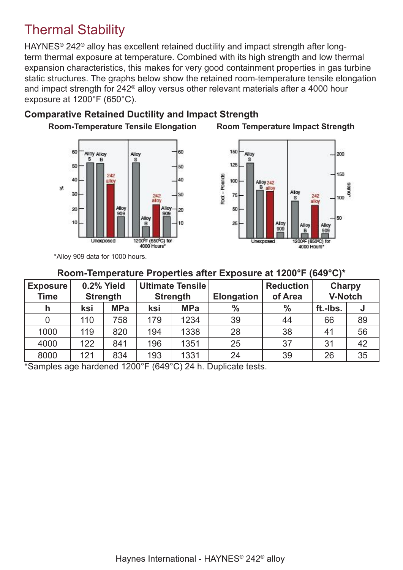## Thermal Stability

HAYNES® 242® alloy has excellent retained ductility and impact strength after longterm thermal exposure at temperature. Combined with its high strength and low thermal expansion characteristics, this makes for very good containment properties in gas turbine static structures. The graphs below show the retained room-temperature tensile elongation and impact strength for 242® alloy versus other relevant materials after a 4000 hour exposure at 1200°F (650°C).

### **Comparative Retained Ductility and Impact Strength**

**Room-Temperature Tensile Elongation**





**Room Temperature Impact Strength**

\*Alloy 909 data for 1000 hours.

### **Room-Temperature Properties after Exposure at 1200°F (649°C)\***

| <b>Exposure</b><br><b>Time</b> |     | 0.2% Yield<br><b>Strength</b> | Ultimate Tensile<br><b>Strength</b> |            | <b>Elongation</b> | <b>Reduction</b><br>of Area | <b>Charpy</b><br><b>V-Notch</b> |    |
|--------------------------------|-----|-------------------------------|-------------------------------------|------------|-------------------|-----------------------------|---------------------------------|----|
| h                              | ksi | <b>MPa</b>                    | ksi                                 | <b>MPa</b> | $\frac{0}{0}$     | $\frac{0}{0}$               | ft.-Ibs.                        | J  |
|                                | 110 | 758                           | 179                                 | 1234       | 39                | 44                          | 66                              | 89 |
| 1000                           | 119 | 820                           | 194                                 | 1338       | 28                | 38                          | 41                              | 56 |
| 4000                           | 122 | 841                           | 196                                 | 1351       | 25                | 37                          | 31                              | 42 |
| 8000                           | 121 | 834                           | 193                                 | 1331       | 24                | 39                          | 26                              | 35 |

\*Samples age hardened 1200°F (649°C) 24 h. Duplicate tests.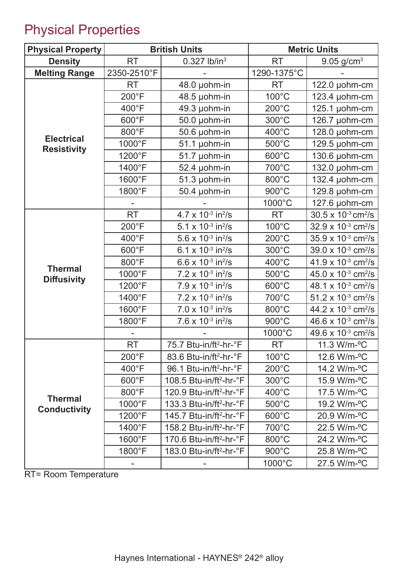## Physical Properties

| <b>Physical Property</b>                |                 | <b>British Units</b>                         |                 | <b>Metric Units</b>                      |
|-----------------------------------------|-----------------|----------------------------------------------|-----------------|------------------------------------------|
| <b>Density</b>                          | <b>RT</b>       | $0.327$ lb/in <sup>3</sup>                   | <b>RT</b>       | 9.05 $g/cm^{3}$                          |
| <b>Melting Range</b>                    | 2350-2510°F     |                                              | 1290-1375°C     |                                          |
|                                         | <b>RT</b>       | 48.0 µohm-in                                 | <b>RT</b>       | 122.0 µohm-cm                            |
|                                         | 200°F           | 48.5 µohm-in                                 | 100°C           | 123.4 µohm-cm                            |
|                                         | 400°F           | 49.3 µohm-in                                 | $200^{\circ}$ C | 125.1 µohm-cm                            |
| <b>Electrical</b><br><b>Resistivity</b> | 600°F           | 50.0 µohm-in                                 | 300°C           | 126.7 µohm-cm                            |
|                                         | 800°F           | 50.6 µohm-in                                 | 400°C           | 128.0 µohm-cm                            |
|                                         | 1000°F          | 51.1 µohm-in                                 | 500°C           | 129.5 µohm-cm                            |
|                                         | 1200°F          | 51.7 µohm-in                                 | 600°C           | 130.6 µohm-cm                            |
|                                         | 1400°F          | 52.4 µohm-in                                 | 700°C           | 132.0 µohm-cm                            |
|                                         | 1600°F          | 51.3 µohm-in                                 | 800°C           | 132.4 µohm-cm                            |
|                                         | 1800°F          | 50.4 µohm-in                                 | 900°C           | 129.8 µohm-cm                            |
|                                         |                 |                                              | 1000°C          | 127.6 µohm-cm                            |
|                                         | <b>RT</b>       | $4.7 \times 10^{-3}$ in <sup>2</sup> /s      | <b>RT</b>       | $30.5 \times 10^{-3}$ cm <sup>2</sup> /s |
|                                         | $200^{\circ}F$  | 5.1 x $10^{-3}$ in <sup>2</sup> /s           | 100°C           | $32.9 \times 10^{-3}$ cm <sup>2</sup> /s |
| <b>Thermal</b>                          | 400°F           | 5.6 x $10^{-3}$ in <sup>2</sup> /s           | $200^{\circ}$ C | $35.9 \times 10^{-3}$ cm <sup>2</sup> /s |
|                                         | 600°F           | 6.1 x $10^{-3}$ in <sup>2</sup> /s           | 300°C           | 39.0 x $10^{-3}$ cm <sup>2</sup> /s      |
|                                         | 800°F           | 6.6 x $10^{-3}$ in <sup>2</sup> /s           | 400°C           | $41.9 \times 10^{-3}$ cm <sup>2</sup> /s |
| <b>Diffusivity</b>                      | 1000°F          | $7.2 \times 10^{-3}$ in <sup>2</sup> /s      | 500°C           | $45.0 \times 10^{-3}$ cm <sup>2</sup> /s |
|                                         | 1200°F          | $7.9 \times 10^{-3}$ in <sup>2</sup> /s      | 600°C           | 48.1 x 10-3 cm <sup>2</sup> /s           |
|                                         | 1400°F          | $7.2 \times 10^{-3}$ in <sup>2</sup> /s      | 700°C           | 51.2 x $10^{-3}$ cm <sup>2</sup> /s      |
|                                         | 1600°F          | $7.0 \times 10^{-3}$ in <sup>2</sup> /s      | 800°C           | 44.2 x $10^{-3}$ cm <sup>2</sup> /s      |
|                                         | 1800°F          | 7.6 x $10^{-3}$ in <sup>2</sup> /s           | 900°C           | 46.6 x $10^{-3}$ cm <sup>2</sup> /s      |
|                                         |                 |                                              | 1000°C          | 49.6 x $10^{-3}$ cm <sup>2</sup> /s      |
|                                         | <b>RT</b>       | 75.7 Btu-in/ft <sup>2</sup> -hr-°F           | <b>RT</b>       | 11.3 W/m-°C                              |
|                                         | $200^{\circ}$ F | 83.6 Btu-in/ft <sup>2</sup> -hr- $\degree$ F | $100^{\circ}$ C | 12.6 W/m-°C                              |
|                                         | $400^{\circ}$ F | 96.1 Btu-in/ft <sup>2</sup> -hr-°F           | $200^{\circ}$ C | 14.2 W/m-°C                              |
|                                         | 600°F           | 108.5 Btu-in/ft <sup>2</sup> -hr-°F          | 300°C           | 15.9 W/m-°C                              |
| <b>Thermal</b>                          | 800°F           | 120.9 Btu-in/ft <sup>2</sup> -hr-°F          | $400^{\circ}$ C | 17.5 W/m-°C                              |
| <b>Conductivity</b>                     | 1000°F          | 133.3 Btu-in/ft <sup>2</sup> -hr-°F          | $500^{\circ}$ C | 19.2 W/m-°C                              |
|                                         | 1200°F          | 145.7 Btu-in/ft <sup>2</sup> -hr-°F          | 600°C           | 20.9 W/m-°C                              |
|                                         | 1400°F          | 158.2 Btu-in/ft <sup>2</sup> -hr-°F          | 700°C           | 22.5 W/m-°C                              |
|                                         | 1600°F          | 170.6 Btu-in/ft <sup>2</sup> -hr-°F          | 800°C           | 24.2 W/m-°C                              |
|                                         | 1800°F          | 183.0 Btu-in/ft <sup>2</sup> -hr-°F          | 900°C           | 25.8 W/m-°C                              |
|                                         |                 |                                              | 1000°C          | 27.5 W/m-°C                              |

RT= Room Temperature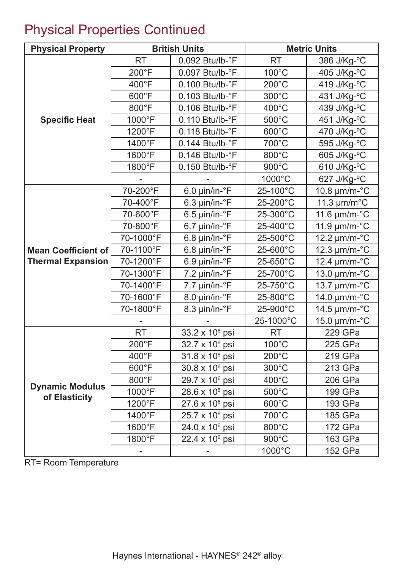## Physical Properties Continued

| <b>Physical Property</b>   |                 | <b>British Units</b>                            | <b>Metric Units</b> |                                 |  |
|----------------------------|-----------------|-------------------------------------------------|---------------------|---------------------------------|--|
|                            | <b>RT</b>       | 0.092 Btu/lb-°F                                 | <b>RT</b>           | 386 J/Kg-°C                     |  |
|                            | 200°F           | 0.097 Btu/lb-°F                                 | $100^{\circ}$ C     | 405 J/Kg-°C                     |  |
|                            | 400°F           | $0.100$ Btu/lb- $\degree$ F                     | $200^{\circ}$ C     | 419 J/Kg-°C                     |  |
|                            | 600°F           | $0.103$ Btu/lb- $\degree$ F                     | 300°C               | 431 J/Kg-°C                     |  |
|                            | 800°F           | $0.106$ Btu/lb- $\degree$ F                     | 400°C               | 439 J/Kg-°C                     |  |
| <b>Specific Heat</b>       | 1000°F          | $0.110$ Btu/lb- $\degree$ F                     | $500^{\circ}$ C     | 451 J/Kg-°C                     |  |
|                            | 1200°F          | $0.118$ Btu/lb- $\degree$ F                     | 600°C               | 470 J/Kg-°C                     |  |
|                            | 1400°F          | $0.144$ Btu/lb- $\degree$ F                     | 700°C               | 595 J/Kg-°C                     |  |
|                            | 1600°F          | $0.146$ Btu/lb- $\degree$ F                     | 800°C               | 605 J/Kg-°C                     |  |
|                            | 1800°F          | 0.150 Btu/lb-°F                                 | 900°C               | 610 J/Kg-°C                     |  |
|                            |                 |                                                 | 1000°C              | 627 J/Kg-°C                     |  |
|                            | 70-200°F        | $6.0 \mu$ in/in- $\degree$ F                    | 25-100°C            | 10.8 $\mu$ m/m- $\textdegree$ C |  |
|                            | 70-400°F        | $6.3 \mu$ in/in- $\mathrm{P}F$                  | 25-200°C            | 11.3 $\mu$ m/m $^{\circ}$ C     |  |
|                            | 70-600°F        | $6.5 \text{ } \mu\text{in/in-}^{\circ}\text{F}$ | 25-300°C            | 11.6 $\mu$ m/m- $\textdegree$ C |  |
|                            | 70-800°F        | $6.7 \mu$ in/in- $\mathrm{P}$ F                 | 25-400°C            | 11.9 $\mu$ m/m- $\mathrm{°C}$   |  |
|                            | 70-1000°F       | 6.8 µin/in-°F                                   | 25-500°C            | 12.2 $\mu$ m/m- $\mathrm{°C}$   |  |
| <b>Mean Coefficient of</b> | 70-1100°F       | 6.8 µin/in-°F                                   | 25-600°C            | 12.3 $\mu$ m/m- $\mathrm{°C}$   |  |
| <b>Thermal Expansion</b>   | 70-1200°F       | 6.9 µin/in-°F                                   | 25-650°C            | 12.4 $\mu$ m/m- $\textdegree$ C |  |
|                            | 70-1300°F       | $7.2 \mu$ in/in- $\degree$ F                    | 25-700°C            | 13.0 $\mu$ m/m- $\mathrm{°C}$   |  |
|                            | 70-1400°F       | 7.7 µin/in-°F                                   | 25-750°C            | 13.7 $\mu$ m/m- $\mathrm{°C}$   |  |
|                            | 70-1600°F       | 8.0 µin/in-°F                                   | 25-800°C            | 14.0 µm/m-°C                    |  |
|                            | 70-1800°F       | 8.3 µin/in-°F                                   | 25-900°C            | 14.5 $\mu$ m/m- $\textdegree$ C |  |
|                            |                 |                                                 | 25-1000°C           | 15.0 µm/m-°C                    |  |
|                            | <b>RT</b>       | 33.2 x 10 <sup>6</sup> psi                      | <b>RT</b>           | 229 GPa                         |  |
|                            | $200^{\circ}F$  | $32.7 \times 10^6$ psi                          | $100^{\circ}$ C     | 225 GPa                         |  |
|                            | $400^{\circ}$ F | 31.8 x 10 <sup>6</sup> psi                      | $200^{\circ}$ C     | 219 GPa                         |  |
|                            | $600^{\circ}$ F | $30.8 \times 10^6$ psi                          | $300^{\circ}$ C     | 213 GPa                         |  |
| <b>Dynamic Modulus</b>     | $800^{\circ}$ F | 29.7 x 10 <sup>6</sup> psi                      | $400^{\circ}$ C     | 206 GPa                         |  |
| of Elasticity              | 1000°F          | $28.6 \times 10^6$ psi                          | $500^{\circ}$ C     | 199 GPa                         |  |
|                            | 1200°F          | $27.6 \times 10^6$ psi                          | 600°C               | 193 GPa                         |  |
|                            | 1400°F          | 25.7 x 10 <sup>6</sup> psi                      | 700°C               | 185 GPa                         |  |
|                            | 1600°F          | $24.0 \times 10^6$ psi                          | 800°C               | 172 GPa                         |  |
|                            | 1800°F          | $22.4 \times 10^6$ psi                          | 900°C               | 163 GPa                         |  |
|                            |                 |                                                 | 1000°C              | 152 GPa                         |  |

RT= Room Temperature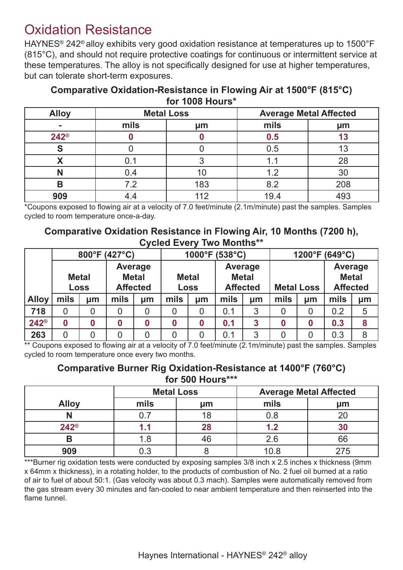## Oxidation Resistance

HAYNES® 242® alloy exhibits very good oxidation resistance at temperatures up to 1500°F (815°C), and should not require protective coatings for continuous or intermittent service at these temperatures. The alloy is not specifically designed for use at higher temperatures, but can tolerate short-term exposures.

#### **Comparative Oxidation-Resistance in Flowing Air at 1500°F (815°C) for 1008 Hours\***

| <b>Alloy</b>   | <b>Metal Loss</b> |     | <b>Average Metal Affected</b> |     |  |  |
|----------------|-------------------|-----|-------------------------------|-----|--|--|
| $\blacksquare$ | mils              | µm  | mils                          | µm  |  |  |
| $242^{\circ}$  |                   |     | 0.5                           |     |  |  |
| c              |                   |     | 0.5                           |     |  |  |
|                | 0.1               |     |                               | 28  |  |  |
| N              | 0.4               |     | 1.2                           | 30  |  |  |
| B              | 7.2               | 183 | 8.2                           | 208 |  |  |
| 909            |                   | 112 | 19.4                          |     |  |  |

\*Coupons exposed to flowing air at a velocity of 7.0 feet/minute (2.1m/minute) past the samples. Samples cycled to room temperature once-a-day.

#### **Comparative Oxidation Resistance in Flowing Air, 10 Months (7200 h), Cycled Every Two Months\*\***

|               | 800°F (427°C)  |                             |      | 1000°F (538°C)                                    |              |                |      | 1200°F (649°C)                                                         |      |                                                   |      |    |
|---------------|----------------|-----------------------------|------|---------------------------------------------------|--------------|----------------|------|------------------------------------------------------------------------|------|---------------------------------------------------|------|----|
|               |                | <b>Metal</b><br><b>Loss</b> |      | <b>Average</b><br><b>Metal</b><br><b>Affected</b> | <b>Metal</b> | <b>Loss</b>    |      | <b>Average</b><br><b>Metal</b><br><b>Affected</b><br><b>Metal Loss</b> |      | <b>Average</b><br><b>Metal</b><br><b>Affected</b> |      |    |
| <b>Alloy</b>  | mils           | µm                          | mils | µm                                                | mils         | µm             | mils | µm                                                                     | mils | µm                                                | mils | µm |
| 718           | $\overline{0}$ | 0                           | 0    | 0                                                 | 0            | 0              | 0.1  | 3                                                                      |      | 0                                                 | 0.2  | 5  |
| $242^{\circ}$ | $\mathbf 0$    | 0                           | 0    | $\bf{0}$                                          | $\mathbf 0$  | 0              | 0.1  | $\boldsymbol{3}$                                                       | 0    | 0                                                 | 0.3  | 8  |
| 263           | $\overline{0}$ | 0                           | 0    | 0                                                 | 0            | $\overline{0}$ | 0.1  | 3                                                                      |      | 0                                                 | 0.3  | 8  |

\*\* Coupons exposed to flowing air at a velocity of 7.0 feet/minute (2.1m/minute) past the samples. Samples cycled to room temperature once every two months.

#### **Comparative Burner Rig Oxidation-Resistance at 1400°F (760°C) for 500 Hours\*\*\***

|               | <b>Metal Loss</b> |    | <b>Average Metal Affected</b> |    |  |  |
|---------------|-------------------|----|-------------------------------|----|--|--|
| <b>Alloy</b>  | mils              | μm |                               | µm |  |  |
|               |                   |    | 0.8                           |    |  |  |
| $242^{\circ}$ |                   | 28 | 1.2                           | 30 |  |  |
| В             | ∣.8               | 46 | 2.6                           | 66 |  |  |
| 909           |                   |    | 10.8                          |    |  |  |

\*\*\*Burner rig oxidation tests were conducted by exposing samples 3/8 inch x 2.5 inches x thickness (9mm x 64mm x thickness), in a rotating holder, to the products of combustion of No. 2 fuel oil burned at a ratio of air to fuel of about 50:1. (Gas velocity was about 0.3 mach). Samples were automatically removed from the gas stream every 30 minutes and fan-cooled to near ambient temperature and then reinserted into the flame tunnel.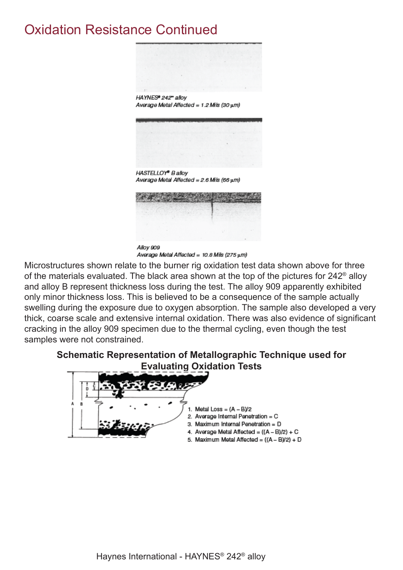### Oxidation Resistance Continued



Average Metal Affected = 10.8 Mils (275 µm)

Microstructures shown relate to the burner rig oxidation test data shown above for three of the materials evaluated. The black area shown at the top of the pictures for 242® alloy and alloy B represent thickness loss during the test. The alloy 909 apparently exhibited only minor thickness loss. This is believed to be a consequence of the sample actually swelling during the exposure due to oxygen absorption. The sample also developed a very thick, coarse scale and extensive internal oxidation. There was also evidence of significant cracking in the alloy 909 specimen due to the thermal cycling, even though the test samples were not constrained.

#### **Schematic Representation of Metallographic Technique used for Evaluating Oxidation Tests**

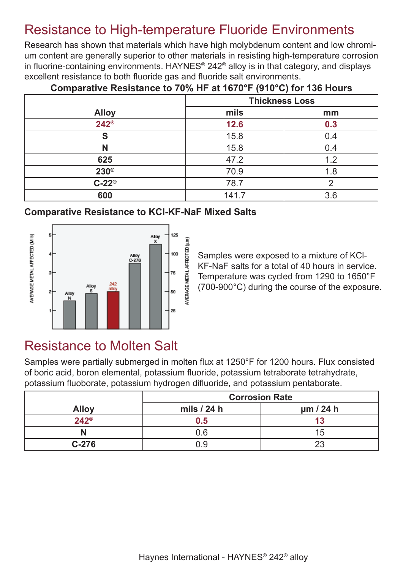## Resistance to High-temperature Fluoride Environments

Research has shown that materials which have high molybdenum content and low chromium content are generally superior to other materials in resisting high-temperature corrosion in fluorine-containing environments. HAYNES® 242® alloy is in that category, and displays excellent resistance to both fluoride gas and fluoride salt environments.

| Comparative Resistance to 70% HF at 1670°F (910°C) for 136 Hours |                       |               |  |  |  |  |
|------------------------------------------------------------------|-----------------------|---------------|--|--|--|--|
|                                                                  | <b>Thickness Loss</b> |               |  |  |  |  |
| <b>Alloy</b>                                                     | mils                  | mm            |  |  |  |  |
| $242^{\circ}$                                                    | 12.6                  | 0.3           |  |  |  |  |
| S                                                                | 15.8                  | 0.4           |  |  |  |  |
| N                                                                | 15.8                  | 0.4           |  |  |  |  |
| 625                                                              | 47.2                  | 1.2           |  |  |  |  |
| $230^\circ$                                                      | 70.9                  | 1.8           |  |  |  |  |
| $C-22^{\circledcirc}$                                            | 78.7                  | $\mathcal{P}$ |  |  |  |  |
| 600                                                              | 141.7                 | 3.6           |  |  |  |  |

### **Comparative Resistance to 70% HF at 1670°F (910°C) for 136 Hours**

### **Comparative Resistance to KCl-KF-NaF Mixed Salts**



Samples were exposed to a mixture of KCl-KF-NaF salts for a total of 40 hours in service. Temperature was cycled from 1290 to 1650°F (700-900°C) during the course of the exposure.

### Resistance to Molten Salt

Samples were partially submerged in molten flux at 1250°F for 1200 hours. Flux consisted of boric acid, boron elemental, potassium fluoride, potassium tetraborate tetrahydrate, potassium fluoborate, potassium hydrogen difluoride, and potassium pentaborate.

|               | <b>Corrosion Rate</b> |                |  |  |  |
|---------------|-----------------------|----------------|--|--|--|
| <b>Alloy</b>  | mils $/24$ h          | $\mu$ m / 24 h |  |  |  |
| $242^{\circ}$ | $0.5\,$               |                |  |  |  |
|               | 0.6                   | 15             |  |  |  |
| $C-276$       | O                     |                |  |  |  |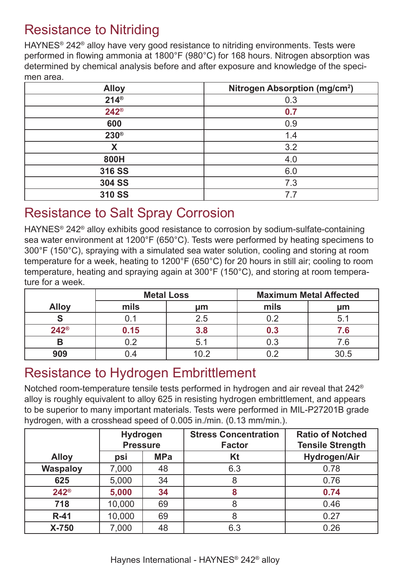## Resistance to Nitriding

HAYNES® 242® alloy have very good resistance to nitriding environments. Tests were performed in flowing ammonia at 1800°F (980°C) for 168 hours. Nitrogen absorption was determined by chemical analysis before and after exposure and knowledge of the specimen area.

| <b>Alloy</b>  | Nitrogen Absorption (mg/cm <sup>2</sup> ) |
|---------------|-------------------------------------------|
| $214^{\circ}$ | 0.3                                       |
| $242^{\circ}$ | 0.7                                       |
| 600           | 0.9                                       |
| $230^\circ$   | 1.4                                       |
| X             | 3.2                                       |
| 800H          | 4.0                                       |
| 316 SS        | 6.0                                       |
| <b>304 SS</b> | 7.3                                       |
| 310 SS        | 7.7                                       |

## Resistance to Salt Spray Corrosion

HAYNES® 242® alloy exhibits good resistance to corrosion by sodium-sulfate-containing sea water environment at 1200°F (650°C). Tests were performed by heating specimens to 300°F (150°C), spraying with a simulated sea water solution, cooling and storing at room temperature for a week, heating to 1200°F (650°C) for 20 hours in still air; cooling to room temperature, heating and spraying again at 300°F (150°C), and storing at room temperature for a week.

|               |      | <b>Metal Loss</b> | <b>Maximum Metal Affected</b> |      |  |  |
|---------------|------|-------------------|-------------------------------|------|--|--|
| <b>Alloy</b>  | mils | μm                |                               | μm   |  |  |
|               |      | 2.5               |                               |      |  |  |
| $242^{\circ}$ | 0.15 | 3.8               | 0.3                           | 7.6  |  |  |
| В             | 12   | 5                 |                               | - 6  |  |  |
| 909           |      |                   |                               | 30.5 |  |  |

## Resistance to Hydrogen Embrittlement

Notched room-temperature tensile tests performed in hydrogen and air reveal that 242® alloy is roughly equivalent to alloy 625 in resisting hydrogen embrittlement, and appears to be superior to many important materials. Tests were performed in MIL-P27201B grade hydrogen, with a crosshead speed of 0.005 in./min. (0.13 mm/min.).

|                 | <b>Hydrogen</b><br><b>Pressure</b> |    | <b>Stress Concentration</b><br><b>Factor</b> | <b>Ratio of Notched</b><br><b>Tensile Strength</b> |  |
|-----------------|------------------------------------|----|----------------------------------------------|----------------------------------------------------|--|
| <b>Alloy</b>    | <b>MPa</b><br>psi                  |    | Kt                                           | Hydrogen/Air                                       |  |
| <b>Waspaloy</b> | 7,000                              | 48 | 6.3                                          | 0.78                                               |  |
| 625             | 5,000                              | 34 | 8                                            | 0.76                                               |  |
| $242^{\circ}$   | 5,000                              | 34 | 8                                            | 0.74                                               |  |
| 718             | 10,000                             | 69 | 8                                            | 0.46                                               |  |
| $R-41$          | 10,000                             | 69 | 8                                            | 0.27                                               |  |
| X-750           | 7,000                              | 48 | 6.3                                          | 0.26                                               |  |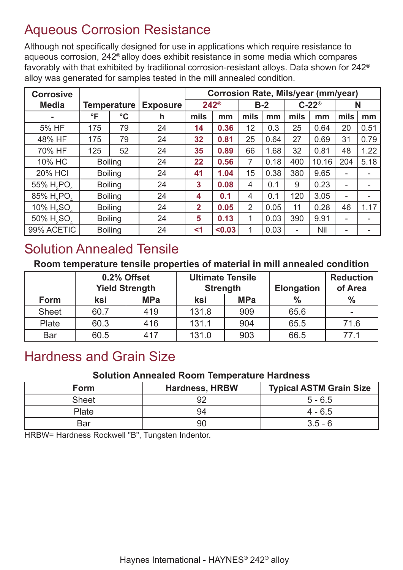## Aqueous Corrosion Resistance

Although not specifically designed for use in applications which require resistance to aqueous corrosion, 242® alloy does exhibit resistance in some media which compares favorably with that exhibited by traditional corrosion-resistant alloys. Data shown for 242® alloy was generated for samples tested in the mill annealed condition.

| <b>Corrosive</b>                   |              |                    |                 | <b>Corrosion Rate, Mils/year (mm/year)</b> |        |                |      |                |       |      |      |
|------------------------------------|--------------|--------------------|-----------------|--------------------------------------------|--------|----------------|------|----------------|-------|------|------|
| <b>Media</b>                       |              | <b>Temperature</b> | <b>Exposure</b> | $242^{\circ}$                              |        | $B-2$          |      | $C-22^{\circ}$ |       | N    |      |
|                                    | $\mathsf{P}$ | $\rm ^{\circ}C$    | h               | mils                                       | mm     | mils           | mm   | mils           | mm    | mils | mm   |
| 5% HF                              | 175          | 79                 | 24              | 14                                         | 0.36   | 12             | 0.3  | 25             | 0.64  | 20   | 0.51 |
| 48% HF                             | 175          | 79                 | 24              | 32                                         | 0.81   | 25             | 0.64 | 27             | 0.69  | 31   | 0.79 |
| 70% HF                             | 125          | 52                 | 24              | 35                                         | 0.89   | 66             | 1.68 | 32             | 0.81  | 48   | 1.22 |
| 10% HC                             |              | <b>Boiling</b>     | 24              | 22                                         | 0.56   | 7              | 0.18 | 400            | 10.16 | 204  | 5.18 |
| <b>20% HCI</b>                     |              | <b>Boiling</b>     | 24              | 41                                         | 1.04   | 15             | 0.38 | 380            | 9.65  | ۰    |      |
| 55% H <sub>2</sub> PO,             |              | <b>Boiling</b>     | 24              | 3                                          | 0.08   | $\overline{4}$ | 0.1  | 9              | 0.23  | -    |      |
| 85% H <sub>2</sub> PO <sub>4</sub> |              | <b>Boiling</b>     | 24              | 4                                          | 0.1    | $\overline{4}$ | 0.1  | 120            | 3.05  | -    | -    |
| 10% H <sub>2</sub> SO <sub>4</sub> |              | <b>Boiling</b>     | 24              | $\overline{2}$                             | 0.05   | $\overline{2}$ | 0.05 | 11             | 0.28  | 46   | 1.17 |
| 50% H <sub>2</sub> SO <sub>2</sub> |              | <b>Boiling</b>     | 24              | 5                                          | 0.13   | 1              | 0.03 | 390            | 9.91  | -    |      |
| 99% ACETIC                         |              | <b>Boiling</b>     | 24              | <1                                         | < 0.03 |                | 0.03 |                | Nil   | ۰    | -    |

### Solution Annealed Tensile

### **Room temperature tensile properties of material in mill annealed condition**

|              |      | 0.2% Offset<br><b>Yield Strength</b> | <b>Ultimate Tensile</b><br><b>Strength</b> |            | <b>Elongation</b> | <b>Reduction</b><br>of Area |
|--------------|------|--------------------------------------|--------------------------------------------|------------|-------------------|-----------------------------|
| <b>Form</b>  | ksi  | <b>MPa</b>                           | ksi                                        | <b>MPa</b> | $\frac{0}{0}$     | $\%$                        |
| <b>Sheet</b> | 60.7 | 419                                  | 131.8                                      | 909        | 65.6              |                             |
| Plate        | 60.3 | 416                                  | 131.1                                      | 904        | 65.5              | 71.6                        |
| <b>Bar</b>   | 60.5 | 417                                  | 131.0                                      | 903        | 66.5              |                             |

### Hardness and Grain Size

#### **Solution Annealed Room Temperature Hardness**

| Form         | <b>Hardness, HRBW</b> | <b>Typical ASTM Grain Size</b> |
|--------------|-----------------------|--------------------------------|
| <b>Sheet</b> | 92                    | $5 - 6.5$                      |
| Plate        | 94                    | $4 - 6.5$                      |
| Bar          | 90                    | $3.5 - 6$                      |

HRBW= Hardness Rockwell "B", Tungsten Indentor.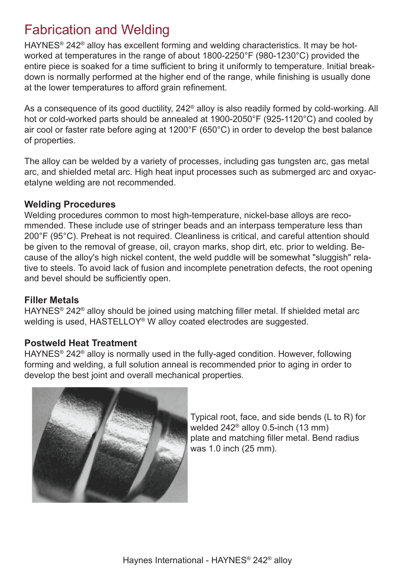### Fabrication and Welding

HAYNES® 242® alloy has excellent forming and welding characteristics. It may be hotworked at temperatures in the range of about 1800-2250°F (980-1230°C) provided the entire piece is soaked for a time sufficient to bring it uniformly to temperature. Initial breakdown is normally performed at the higher end of the range, while finishing is usually done at the lower temperatures to afford grain refinement.

As a consequence of its good ductility, 242<sup>®</sup> alloy is also readily formed by cold-working. All hot or cold-worked parts should be annealed at 1900-2050°F (925-1120°C) and cooled by air cool or faster rate before aging at 1200°F (650°C) in order to develop the best balance of properties.

The alloy can be welded by a variety of processes, including gas tungsten arc, gas metal arc, and shielded metal arc. High heat input processes such as submerged arc and oxyacetalyne welding are not recommended.

#### **Welding Procedures**

Welding procedures common to most high-temperature, nickel-base alloys are recommended. These include use of stringer beads and an interpass temperature less than 200°F (95°C). Preheat is not required. Cleanliness is critical, and careful attention should be given to the removal of grease, oil, crayon marks, shop dirt, etc. prior to welding. Because of the alloy's high nickel content, the weld puddle will be somewhat "sluggish" relative to steels. To avoid lack of fusion and incomplete penetration defects, the root opening and bevel should be sufficiently open.

### **Filler Metals**

HAYNES® 242® alloy should be joined using matching filler metal. If shielded metal arc welding is used, HASTELLOY® W alloy coated electrodes are suggested.

### **Postweld Heat Treatment**

HAYNES® 242® alloy is normally used in the fully-aged condition. However, following forming and welding, a full solution anneal is recommended prior to aging in order to develop the best joint and overall mechanical properties.



Typical root, face, and side bends (L to R) for welded 242® alloy 0.5-inch (13 mm) plate and matching filler metal. Bend radius was 1.0 inch (25 mm).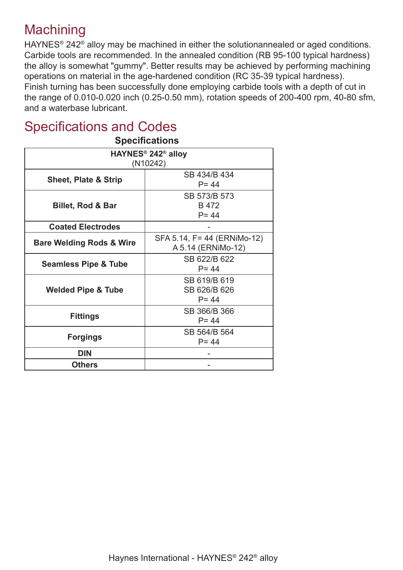## **Machining**

HAYNES<sup>®</sup> 242<sup>®</sup> alloy may be machined in either the solutionannealed or aged conditions. Carbide tools are recommended. In the annealed condition (RB 95-100 typical hardness) the alloy is somewhat "gummy". Better results may be achieved by performing machining operations on material in the age-hardened condition (RC 35-39 typical hardness). Finish turning has been successfully done employing carbide tools with a depth of cut in the range of 0.010-0.020 inch (0.25-0.50 mm), rotation speeds of 200-400 rpm, 40-80 sfm, and a waterbase lubricant.

## Specifications and Codes

**Specifications**

| HAYNES <sup>®</sup> 242 <sup>®</sup> alloy |                             |  |  |  |
|--------------------------------------------|-----------------------------|--|--|--|
| (N10242)                                   |                             |  |  |  |
|                                            | SB 434/B 434                |  |  |  |
| <b>Sheet, Plate &amp; Strip</b>            | $P = 44$                    |  |  |  |
|                                            | SB 573/B 573                |  |  |  |
| <b>Billet, Rod &amp; Bar</b>               | B 472                       |  |  |  |
|                                            | $P = 44$                    |  |  |  |
| <b>Coated Electrodes</b>                   |                             |  |  |  |
|                                            | SFA 5.14, F= 44 (ERNIMo-12) |  |  |  |
| <b>Bare Welding Rods &amp; Wire</b>        | A 5.14 (ERNIMo-12)          |  |  |  |
|                                            | SB 622/B 622                |  |  |  |
| <b>Seamless Pipe &amp; Tube</b>            | $P = 44$                    |  |  |  |
|                                            | SB 619/B 619                |  |  |  |
| <b>Welded Pipe &amp; Tube</b>              | SB 626/B 626                |  |  |  |
|                                            | $P = 44$                    |  |  |  |
|                                            | SB 366/B 366                |  |  |  |
| <b>Fittings</b>                            | $P = 44$                    |  |  |  |
|                                            | SB 564/B 564                |  |  |  |
| <b>Forgings</b>                            | $P = 44$                    |  |  |  |
| <b>DIN</b>                                 |                             |  |  |  |
| <b>Others</b>                              |                             |  |  |  |